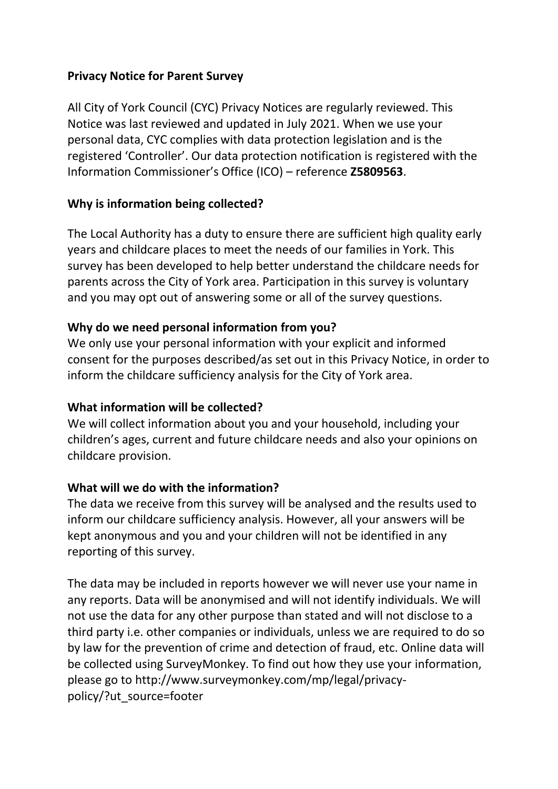### **Privacy Notice for Parent Survey**

All City of York Council (CYC) Privacy Notices are regularly reviewed. This Notice was last reviewed and updated in July 2021. When we use your personal data, CYC complies with data protection legislation and is the registered 'Controller'. Our data protection notification is registered with the Information Commissioner's Office (ICO) – reference **Z5809563**.

### **Why is information being collected?**

The Local Authority has a duty to ensure there are sufficient high quality early years and childcare places to meet the needs of our families in York. This survey has been developed to help better understand the childcare needs for parents across the City of York area. Participation in this survey is voluntary and you may opt out of answering some or all of the survey questions.

### **Why do we need personal information from you?**

We only use your personal information with your explicit and informed consent for the purposes described/as set out in this Privacy Notice, in order to inform the childcare sufficiency analysis for the City of York area.

# **What information will be collected?**

We will collect information about you and your household, including your children's ages, current and future childcare needs and also your opinions on childcare provision.

# **What will we do with the information?**

The data we receive from this survey will be analysed and the results used to inform our childcare sufficiency analysis. However, all your answers will be kept anonymous and you and your children will not be identified in any reporting of this survey.

The data may be included in reports however we will never use your name in any reports. Data will be anonymised and will not identify individuals. We will not use the data for any other purpose than stated and will not disclose to a third party i.e. other companies or individuals, unless we are required to do so by law for the prevention of crime and detection of fraud, etc. Online data will be collected using SurveyMonkey. To find out how they use your information, please go to http://www.surveymonkey.com/mp/legal/privacypolicy/?ut\_source=footer